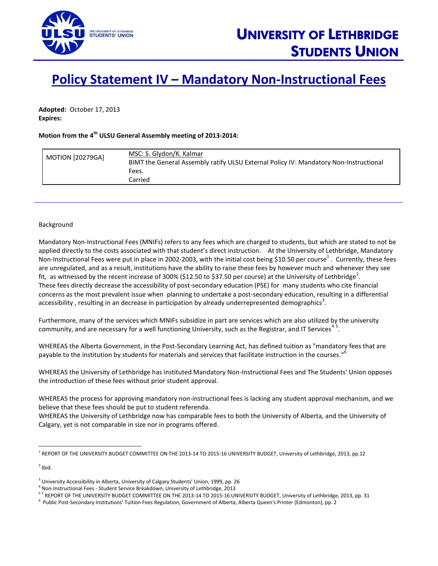

## **Policy Statement IV – Mandatory Non-Instructional Fees**

**Adopted:** October 17, 2013 **Expires:**

## **Motion from the 4 th ULSU General Assembly meeting of 2013-2014:**

| <b>MOTION [20279GA]</b> | MSC: S. Glydon/K. Kalmar<br>BIMT the General Assembly ratify ULSU External Policy IV: Mandatory Non-Instructional<br>Fees. |
|-------------------------|----------------------------------------------------------------------------------------------------------------------------|
|                         | Carried                                                                                                                    |

## Background

Mandatory Non-Instructional Fees (MNIFs) refers to any fees which are charged to students, but which are stated to not be applied directly to the costs associated with that student's direct instruction. At the University of Lethbridge, Mandatory Non-Instructional Fees were put in place in 2002-2003, with the initial cost being \$10.50 per course<sup>1</sup>. Currently, these fees are unregulated, and as a result, institutions have the ability to raise these fees by however much and whenever they see fit, as witnessed by the recent increase of 300% (\$12.50 to \$37.50 per course) at the University of Lethbridge<sup>2</sup>. These fees directly decrease the accessibility of post-secondary education (PSE) for many students who cite financial concerns as the most prevalent issue when planning to undertake a post-secondary education, resulting in a differential accessibility , resulting in an decrease in participation by already underrepresented demographics<sup>3</sup>.

Furthermore, many of the services which MNIFs subsidize in part are services which are also utilized by the university community, and are necessary for a well functioning University, such as the Registrar, and IT Services<sup>45</sup>.

WHEREAS the Alberta Government, in the Post-Secondary Learning Act, has defined tuition as "mandatory fees that are payable to the institution by students for materials and services that facilitate instruction in the courses." 6

WHEREAS the University of Lethbridge has instituted Mandatory Non-Instructional Fees and The Students' Union opposes the introduction of these fees without prior student approval.

WHEREAS the process for approving mandatory non-instructional fees is lacking any student approval mechanism, and we believe that these fees should be put to student referenda.

WHEREAS the University of Lethbridge now has comparable fees to both the University of Alberta, and the University of Calgary, yet is not comparable in size nor in programs offered.

 $2$  Ibid.

l

REPORT OF THE UNIVERSITY BUDGET COMMITTEE ON THE 2013-14 TO 2015-16 UNIVERSITY BUDGET, University of Lethbridge, 2013, pp.12

<sup>&</sup>lt;sup>3</sup> University Accessibility in Alberta, University of Calgary Students' Union, 1999, pp. 26

<sup>4</sup> Non-Instructional Fees - Student Service Breakdown, University of Lethbridge, 2013

<sup>&</sup>lt;sup>5 5</sup> REPORT OF THE UNIVERSITY BUDGET COMMITTEE ON THE 2013-14 TO 2015-16 UNIVERSITY BUDGET, University of Lethbridge, 2013, pp. 31

<sup>6</sup> Public Post-Secondary Institutions' Tuition Fees Regulation, Government of Alberta, Alberta Queen's Printer (Edmonton), pp. 2